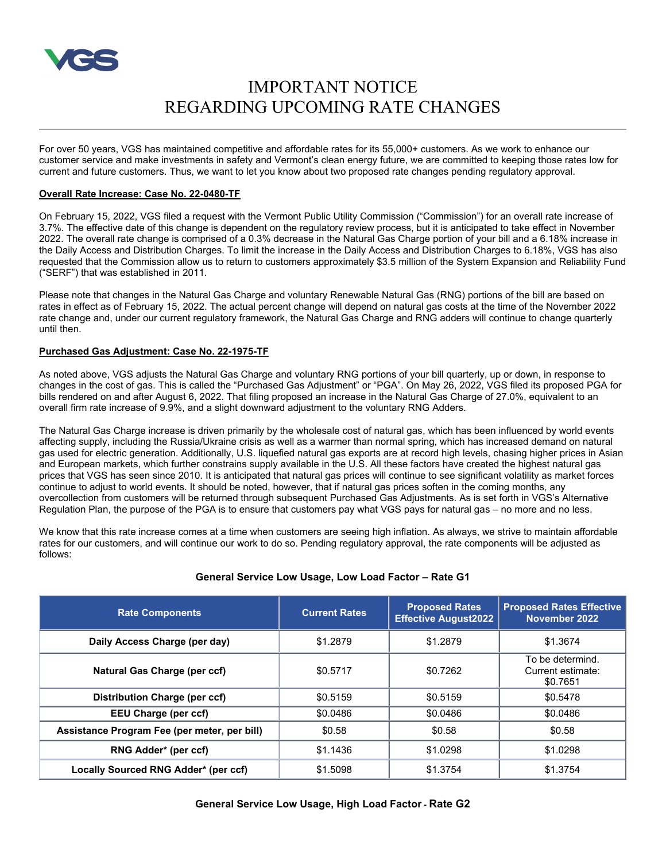

# IMPORTANT NOTICE REGARDING UPCOMING RATE CHANGES

For over 50 years, VGS has maintained competitive and affordable rates for its 55,000+ customers. As we work to enhance our customer service and make investments in safety and Vermont's clean energy future, we are committed to keeping those rates low for current and future customers. Thus, we want to let you know about two proposed rate changes pending regulatory approval.

#### **Overall Rate Increase: Case No. 22-0480-TF**

On February 15, 2022, VGS filed a request with the Vermont Public Utility Commission ("Commission") for an overall rate increase of 3.7%. The effective date of this change is dependent on the regulatory review process, but it is anticipated to take effect in November 2022. The overall rate change is comprised of a 0.3% decrease in the Natural Gas Charge portion of your bill and a 6.18% increase in the Daily Access and Distribution Charges. To limit the increase in the Daily Access and Distribution Charges to 6.18%, VGS has also requested that the Commission allow us to return to customers approximately \$3.5 million of the System Expansion and Reliability Fund ("SERF") that was established in 2011.

Please note that changes in the Natural Gas Charge and voluntary Renewable Natural Gas (RNG) portions of the bill are based on rates in effect as of February 15, 2022. The actual percent change will depend on natural gas costs at the time of the November 2022 rate change and, under our current regulatory framework, the Natural Gas Charge and RNG adders will continue to change quarterly until then.

### **Purchased Gas Adjustment: Case No. 22-1975-TF**

As noted above, VGS adjusts the Natural Gas Charge and voluntary RNG portions of your bill quarterly, up or down, in response to changes in the cost of gas. This is called the "Purchased Gas Adjustment" or "PGA". On May 26, 2022, VGS filed its proposed PGA for bills rendered on and after August 6, 2022. That filing proposed an increase in the Natural Gas Charge of 27.0%, equivalent to an overall firm rate increase of 9.9%, and a slight downward adjustment to the voluntary RNG Adders.

The Natural Gas Charge increase is driven primarily by the wholesale cost of natural gas, which has been influenced by world events affecting supply, including the Russia/Ukraine crisis as well as a warmer than normal spring, which has increased demand on natural gas used for electric generation. Additionally, U.S. liquefied natural gas exports are at record high levels, chasing higher prices in Asian and European markets, which further constrains supply available in the U.S. All these factors have created the highest natural gas prices that VGS has seen since 2010. It is anticipated that natural gas prices will continue to see significant volatility as market forces continue to adjust to world events. It should be noted, however, that if natural gas prices soften in the coming months, any overcollection from customers will be returned through subsequent Purchased Gas Adjustments. As is set forth in VGS's Alternative Regulation Plan, the purpose of the PGA is to ensure that customers pay what VGS pays for natural gas – no more and no less.

We know that this rate increase comes at a time when customers are seeing high inflation. As always, we strive to maintain affordable rates for our customers, and will continue our work to do so. Pending regulatory approval, the rate components will be adjusted as follows:

## **General Service Low Usage, Low Load Factor – Rate G1**

| <b>Rate Components</b>                       | <b>Current Rates</b> | <b>Proposed Rates</b><br><b>Effective August2022</b> | <b>Proposed Rates Effective</b><br>November 2022  |
|----------------------------------------------|----------------------|------------------------------------------------------|---------------------------------------------------|
| Daily Access Charge (per day)                | \$1,2879             | \$1.2879                                             | \$1.3674                                          |
| Natural Gas Charge (per ccf)                 | \$0.5717             | \$0.7262                                             | To be determind.<br>Current estimate:<br>\$0.7651 |
| Distribution Charge (per ccf)                | \$0.5159             | \$0.5159                                             | \$0.5478                                          |
| <b>EEU Charge (per ccf)</b>                  | \$0.0486             | \$0.0486                                             | \$0.0486                                          |
| Assistance Program Fee (per meter, per bill) | \$0.58               | \$0.58                                               | \$0.58                                            |
| RNG Adder* (per ccf)                         | \$1.1436             | \$1.0298                                             | \$1.0298                                          |
| Locally Sourced RNG Adder* (per ccf)         | \$1.5098             | \$1.3754                                             | \$1.3754                                          |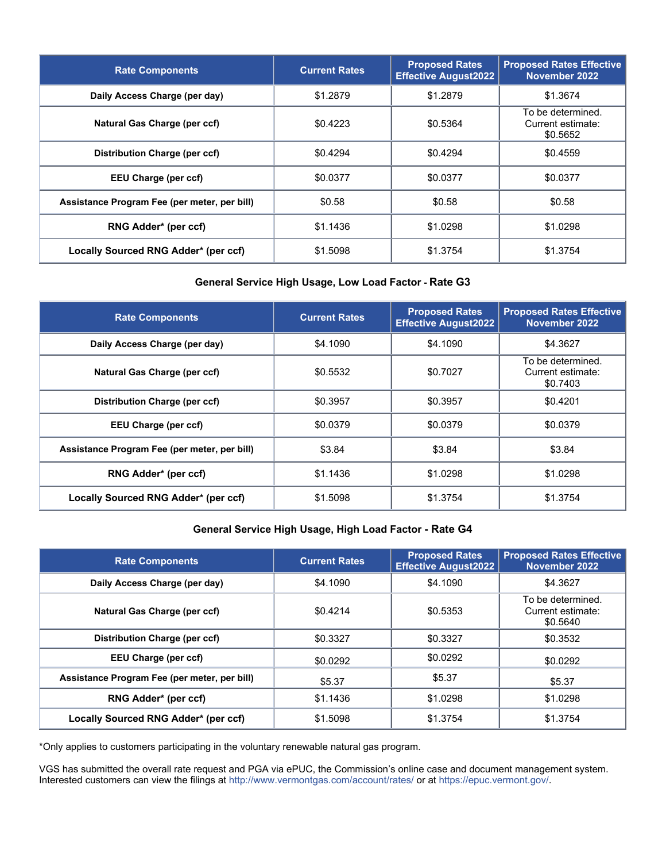| <b>Rate Components</b>                       | <b>Current Rates</b> | <b>Proposed Rates</b><br><b>Effective August2022</b> | <b>Proposed Rates Effective</b><br>November 2022   |
|----------------------------------------------|----------------------|------------------------------------------------------|----------------------------------------------------|
| Daily Access Charge (per day)                | \$1.2879             | \$1.2879                                             | \$1.3674                                           |
| Natural Gas Charge (per ccf)                 | \$0.4223             | \$0.5364                                             | To be determined.<br>Current estimate:<br>\$0.5652 |
| Distribution Charge (per ccf)                | \$0.4294             | \$0.4294                                             | \$0.4559                                           |
| EEU Charge (per ccf)                         | \$0.0377             | \$0.0377                                             | \$0.0377                                           |
| Assistance Program Fee (per meter, per bill) | \$0.58               | \$0.58                                               | \$0.58                                             |
| RNG Adder* (per ccf)                         | \$1.1436             | \$1.0298                                             | \$1.0298                                           |
| Locally Sourced RNG Adder* (per ccf)         | \$1,5098             | \$1.3754                                             | \$1.3754                                           |

# **General Service High Usage, Low Load Factor - Rate G3**

| <b>Rate Components</b>                       | <b>Current Rates</b> | <b>Proposed Rates</b><br><b>Effective August2022</b> | <b>Proposed Rates Effective</b><br>November 2022   |
|----------------------------------------------|----------------------|------------------------------------------------------|----------------------------------------------------|
| Daily Access Charge (per day)                | \$4,1090             | \$4.1090                                             | \$4.3627                                           |
| Natural Gas Charge (per ccf)                 | \$0.5532             | \$0.7027                                             | To be determined.<br>Current estimate:<br>\$0.7403 |
| Distribution Charge (per ccf)                | \$0.3957             | \$0.3957                                             | \$0.4201                                           |
| EEU Charge (per ccf)                         | \$0.0379             | \$0.0379                                             | \$0.0379                                           |
| Assistance Program Fee (per meter, per bill) | \$3.84               | \$3.84                                               | \$3.84                                             |
| RNG Adder* (per ccf)                         | \$1.1436             | \$1.0298                                             | \$1.0298                                           |
| Locally Sourced RNG Adder* (per ccf)         | \$1.5098             | \$1.3754                                             | \$1.3754                                           |

# **General Service High Usage, High Load Factor - Rate G4**

| <b>Rate Components</b>                       | <b>Current Rates</b> | <b>Proposed Rates</b><br><b>Effective August2022</b> | <b>Proposed Rates Effective</b><br>November 2022   |
|----------------------------------------------|----------------------|------------------------------------------------------|----------------------------------------------------|
| Daily Access Charge (per day)                | \$4,1090             | \$4,1090                                             | \$4.3627                                           |
| Natural Gas Charge (per ccf)                 | \$0.4214             | \$0.5353                                             | To be determined.<br>Current estimate:<br>\$0.5640 |
| Distribution Charge (per ccf)                | \$0.3327             | \$0.3327                                             | \$0.3532                                           |
| EEU Charge (per ccf)                         | \$0.0292             | \$0.0292                                             | \$0.0292                                           |
| Assistance Program Fee (per meter, per bill) | \$5.37               | \$5.37                                               | \$5.37                                             |
| RNG Adder* (per ccf)                         | \$1.1436             | \$1.0298                                             | \$1.0298                                           |
| Locally Sourced RNG Adder* (per ccf)         | \$1.5098             | \$1.3754                                             | \$1.3754                                           |

\*Only applies to customers participating in the voluntary renewable natural gas program.

VGS has submitted the overall rate request and PGA via ePUC, the Commission's online case and document management system. Interested customers can view the filings a[t http://www.vermontgas.com/account/rates/](http://www.vermontgas.com/account/rates/) or a[t https://epuc.vermont.gov/.](https://epuc.vermont.gov/)